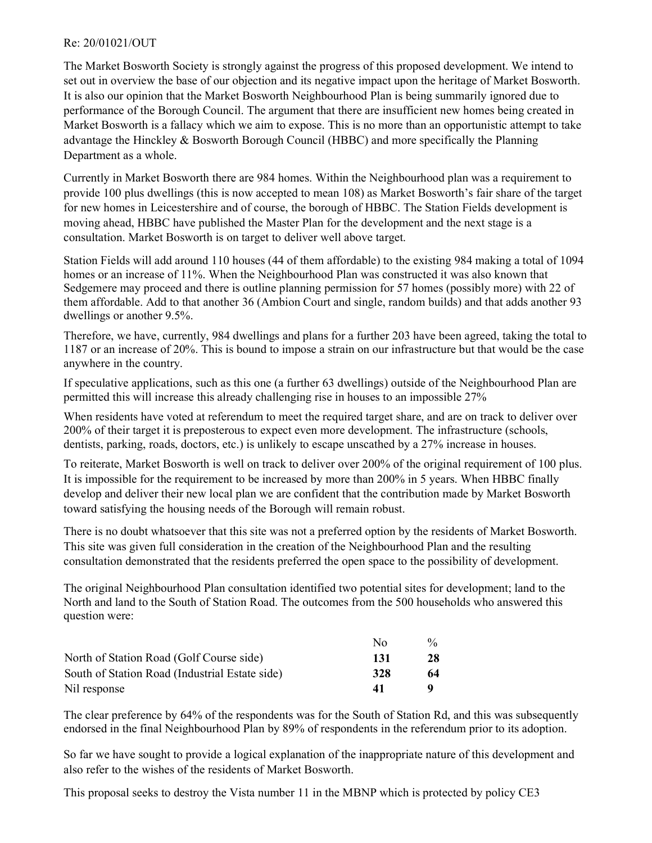## Re: 20/01021/OUT

The Market Bosworth Society is strongly against the progress of this proposed development. We intend to set out in overview the base of our objection and its negative impact upon the heritage of Market Bosworth. It is also our opinion that the Market Bosworth Neighbourhood Plan is being summarily ignored due to performance of the Borough Council. The argument that there are insufficient new homes being created in Market Bosworth is a fallacy which we aim to expose. This is no more than an opportunistic attempt to take advantage the Hinckley & Bosworth Borough Council (HBBC) and more specifically the Planning Department as a whole.

Currently in Market Bosworth there are 984 homes. Within the Neighbourhood plan was a requirement to provide 100 plus dwellings (this is now accepted to mean 108) as Market Bosworth's fair share of the target for new homes in Leicestershire and of course, the borough of HBBC. The Station Fields development is moving ahead, HBBC have published the Master Plan for the development and the next stage is a consultation. Market Bosworth is on target to deliver well above target.

Station Fields will add around 110 houses (44 of them affordable) to the existing 984 making a total of 1094 homes or an increase of 11%. When the Neighbourhood Plan was constructed it was also known that Sedgemere may proceed and there is outline planning permission for 57 homes (possibly more) with 22 of them affordable. Add to that another 36 (Ambion Court and single, random builds) and that adds another 93 dwellings or another 9.5%.

Therefore, we have, currently, 984 dwellings and plans for a further 203 have been agreed, taking the total to 1187 or an increase of 20%. This is bound to impose a strain on our infrastructure but that would be the case anywhere in the country.

If speculative applications, such as this one (a further 63 dwellings) outside of the Neighbourhood Plan are permitted this will increase this already challenging rise in houses to an impossible 27%

When residents have voted at referendum to meet the required target share, and are on track to deliver over 200% of their target it is preposterous to expect even more development. The infrastructure (schools, dentists, parking, roads, doctors, etc.) is unlikely to escape unscathed by a 27% increase in houses.

To reiterate, Market Bosworth is well on track to deliver over 200% of the original requirement of 100 plus. It is impossible for the requirement to be increased by more than 200% in 5 years. When HBBC finally develop and deliver their new local plan we are confident that the contribution made by Market Bosworth toward satisfying the housing needs of the Borough will remain robust.

There is no doubt whatsoever that this site was not a preferred option by the residents of Market Bosworth. This site was given full consideration in the creation of the Neighbourhood Plan and the resulting consultation demonstrated that the residents preferred the open space to the possibility of development.

The original Neighbourhood Plan consultation identified two potential sites for development; land to the North and land to the South of Station Road. The outcomes from the 500 households who answered this question were:

|                                                | Nο  | $\frac{0}{0}$ |
|------------------------------------------------|-----|---------------|
| North of Station Road (Golf Course side)       | 131 | 28            |
| South of Station Road (Industrial Estate side) | 328 | 64            |
| Nil response                                   | 41  |               |

The clear preference by 64% of the respondents was for the South of Station Rd, and this was subsequently endorsed in the final Neighbourhood Plan by 89% of respondents in the referendum prior to its adoption.

So far we have sought to provide a logical explanation of the inappropriate nature of this development and also refer to the wishes of the residents of Market Bosworth.

This proposal seeks to destroy the Vista number 11 in the MBNP which is protected by policy CE3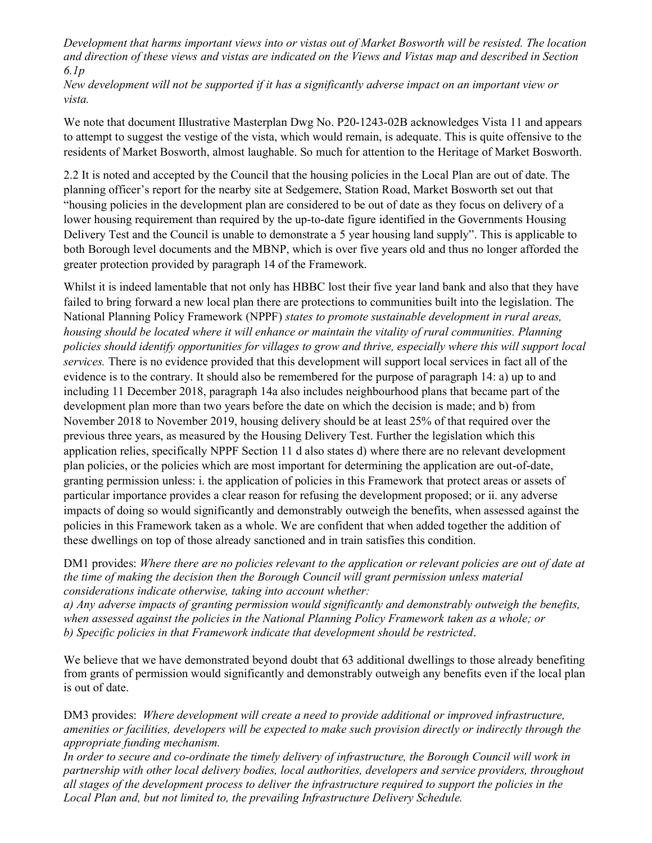Development that harms important views into or vistas out of Market Bosworth will be resisted. The location and direction of these views and vistas are indicated on the Views and Vistas map and described in Section 6.1p

New development will not be supported if it has a significantly adverse impact on an important view or vista.

We note that document Illustrative Masterplan Dwg No. P20-1243-02B acknowledges Vista 11 and appears to attempt to suggest the vestige of the vista, which would remain, is adequate. This is quite offensive to the residents of Market Bosworth, almost laughable. So much for attention to the Heritage of Market Bosworth.

2.2 It is noted and accepted by the Council that the housing policies in the Local Plan are out of date. The planning officer's report for the nearby site at Sedgemere, Station Road, Market Bosworth set out that "housing policies in the development plan are considered to be out of date as they focus on delivery of a lower housing requirement than required by the up-to-date figure identified in the Governments Housing Delivery Test and the Council is unable to demonstrate a 5 year housing land supply". This is applicable to both Borough level documents and the MBNP, which is over five years old and thus no longer afforded the greater protection provided by paragraph 14 of the Framework.

Whilst it is indeed lamentable that not only has HBBC lost their five year land bank and also that they have failed to bring forward a new local plan there are protections to communities built into the legislation. The National Planning Policy Framework (NPPF) states to promote sustainable development in rural areas, housing should be located where it will enhance or maintain the vitality of rural communities. Planning policies should identify opportunities for villages to grow and thrive, especially where this will support local services. There is no evidence provided that this development will support local services in fact all of the evidence is to the contrary. It should also be remembered for the purpose of paragraph 14: a) up to and including 11 December 2018, paragraph 14a also includes neighbourhood plans that became part of the development plan more than two years before the date on which the decision is made; and b) from November 2018 to November 2019, housing delivery should be at least 25% of that required over the previous three years, as measured by the Housing Delivery Test. Further the legislation which this application relies, specifically NPPF Section 11 d also states d) where there are no relevant development plan policies, or the policies which are most important for determining the application are out-of-date, granting permission unless: i. the application of policies in this Framework that protect areas or assets of particular importance provides a clear reason for refusing the development proposed; or ii. any adverse impacts of doing so would significantly and demonstrably outweigh the benefits, when assessed against the policies in this Framework taken as a whole. We are confident that when added together the addition of these dwellings on top of those already sanctioned and in train satisfies this condition.

DM1 provides: Where there are no policies relevant to the application or relevant policies are out of date at the time of making the decision then the Borough Council will grant permission unless material considerations indicate otherwise, taking into account whether:

a) Any adverse impacts of granting permission would significantly and demonstrably outweigh the benefits, when assessed against the policies in the National Planning Policy Framework taken as a whole; or b) Specific policies in that Framework indicate that development should be restricted.

We believe that we have demonstrated beyond doubt that 63 additional dwellings to those already benefiting from grants of permission would significantly and demonstrably outweigh any benefits even if the local plan is out of date.

DM3 provides: Where development will create a need to provide additional or improved infrastructure, amenities or facilities, developers will be expected to make such provision directly or indirectly through the appropriate funding mechanism.

In order to secure and co-ordinate the timely delivery of infrastructure, the Borough Council will work in partnership with other local delivery bodies, local authorities, developers and service providers, throughout all stages of the development process to deliver the infrastructure required to support the policies in the Local Plan and, but not limited to, the prevailing Infrastructure Delivery Schedule.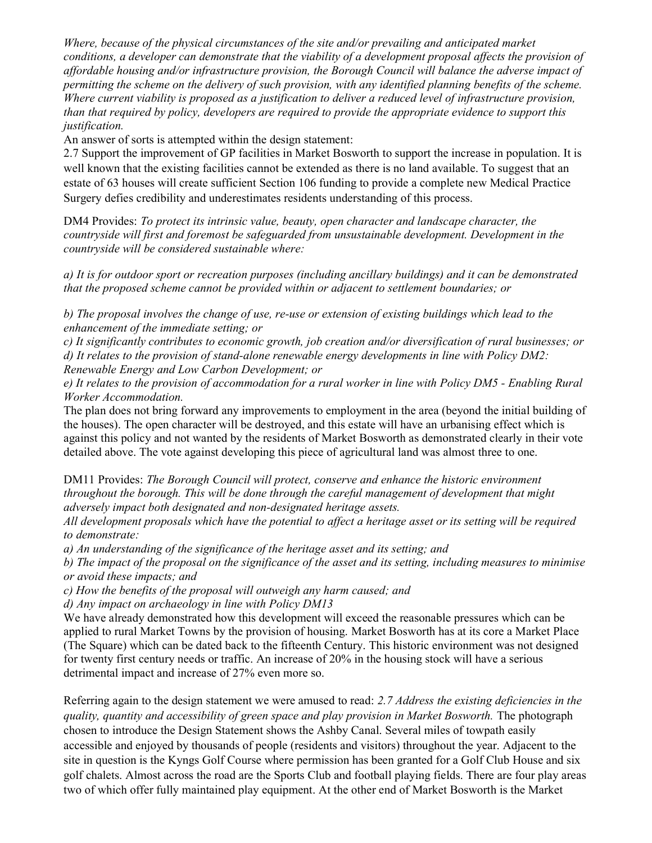Where, because of the physical circumstances of the site and/or prevailing and anticipated market conditions, a developer can demonstrate that the viability of a development proposal affects the provision of affordable housing and/or infrastructure provision, the Borough Council will balance the adverse impact of permitting the scheme on the delivery of such provision, with any identified planning benefits of the scheme. Where current viability is proposed as a justification to deliver a reduced level of infrastructure provision, than that required by policy, developers are required to provide the appropriate evidence to support this justification.

An answer of sorts is attempted within the design statement:

2.7 Support the improvement of GP facilities in Market Bosworth to support the increase in population. It is well known that the existing facilities cannot be extended as there is no land available. To suggest that an estate of 63 houses will create sufficient Section 106 funding to provide a complete new Medical Practice Surgery defies credibility and underestimates residents understanding of this process.

DM4 Provides: To protect its intrinsic value, beauty, open character and landscape character, the countryside will first and foremost be safeguarded from unsustainable development. Development in the countryside will be considered sustainable where:

a) It is for outdoor sport or recreation purposes (including ancillary buildings) and it can be demonstrated that the proposed scheme cannot be provided within or adjacent to settlement boundaries; or

b) The proposal involves the change of use, re-use or extension of existing buildings which lead to the enhancement of the immediate setting; or

c) It significantly contributes to economic growth, job creation and/or diversification of rural businesses; or d) It relates to the provision of stand-alone renewable energy developments in line with Policy DM2: Renewable Energy and Low Carbon Development; or

e) It relates to the provision of accommodation for a rural worker in line with Policy DM5 - Enabling Rural Worker Accommodation.

The plan does not bring forward any improvements to employment in the area (beyond the initial building of the houses). The open character will be destroyed, and this estate will have an urbanising effect which is against this policy and not wanted by the residents of Market Bosworth as demonstrated clearly in their vote detailed above. The vote against developing this piece of agricultural land was almost three to one.

DM11 Provides: The Borough Council will protect, conserve and enhance the historic environment throughout the borough. This will be done through the careful management of development that might adversely impact both designated and non-designated heritage assets.

All development proposals which have the potential to affect a heritage asset or its setting will be required to demonstrate:

a) An understanding of the significance of the heritage asset and its setting; and

b) The impact of the proposal on the significance of the asset and its setting, including measures to minimise or avoid these impacts; and

c) How the benefits of the proposal will outweigh any harm caused; and

d) Any impact on archaeology in line with Policy DM13

We have already demonstrated how this development will exceed the reasonable pressures which can be applied to rural Market Towns by the provision of housing. Market Bosworth has at its core a Market Place (The Square) which can be dated back to the fifteenth Century. This historic environment was not designed for twenty first century needs or traffic. An increase of 20% in the housing stock will have a serious detrimental impact and increase of 27% even more so.

Referring again to the design statement we were amused to read: 2.7 Address the existing deficiencies in the quality, quantity and accessibility of green space and play provision in Market Bosworth. The photograph chosen to introduce the Design Statement shows the Ashby Canal. Several miles of towpath easily accessible and enjoyed by thousands of people (residents and visitors) throughout the year. Adjacent to the site in question is the Kyngs Golf Course where permission has been granted for a Golf Club House and six golf chalets. Almost across the road are the Sports Club and football playing fields. There are four play areas two of which offer fully maintained play equipment. At the other end of Market Bosworth is the Market